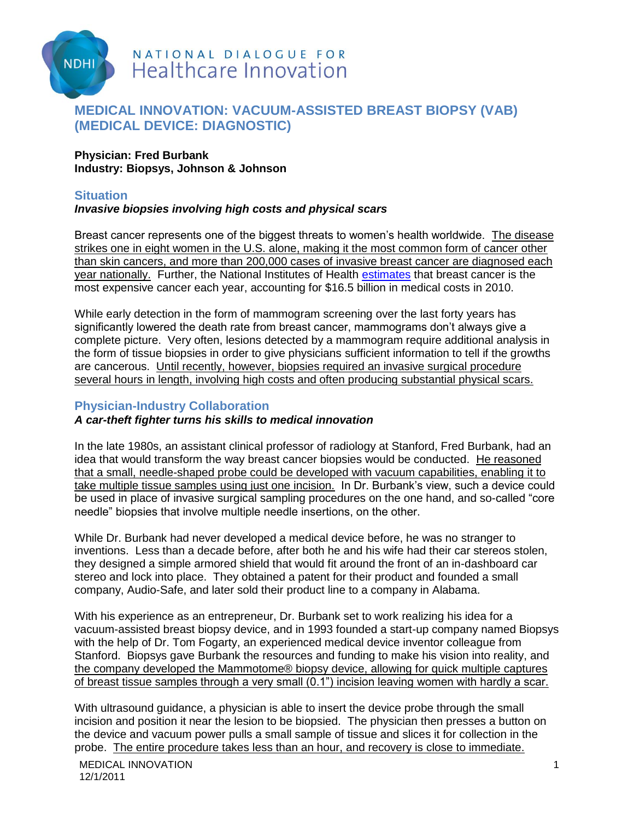

# NATIONAL DIALOGUE FOR **Healthcare Innovation**

# **MEDICAL INNOVATION: VACUUM-ASSISTED BREAST BIOPSY (VAB) (MEDICAL DEVICE: DIAGNOSTIC)**

#### **Physician: Fred Burbank Industry: Biopsys, Johnson & Johnson**

## **Situation**

## *Invasive biopsies involving high costs and physical scars*

Breast cancer represents one of the biggest threats to women's health worldwide. The disease strikes one in eight women in the U.S. alone, making it the most common form of cancer other than skin cancers, and more than 200,000 cases of invasive breast cancer are diagnosed each year nationally. Further, the National Institutes of Health [estimates](http://www.nih.gov/news/health/jan2011/nci-12.htm) that breast cancer is the most expensive cancer each year, accounting for \$16.5 billion in medical costs in 2010.

While early detection in the form of mammogram screening over the last forty years has significantly lowered the death rate from breast cancer, mammograms don't always give a complete picture. Very often, lesions detected by a mammogram require additional analysis in the form of tissue biopsies in order to give physicians sufficient information to tell if the growths are cancerous. Until recently, however, biopsies required an invasive surgical procedure several hours in length, involving high costs and often producing substantial physical scars.

# **Physician-Industry Collaboration**

## *A car-theft fighter turns his skills to medical innovation*

In the late 1980s, an assistant clinical professor of radiology at Stanford, Fred Burbank, had an idea that would transform the way breast cancer biopsies would be conducted. He reasoned that a small, needle-shaped probe could be developed with vacuum capabilities, enabling it to take multiple tissue samples using just one incision. In Dr. Burbank's view, such a device could be used in place of invasive surgical sampling procedures on the one hand, and so-called "core needle" biopsies that involve multiple needle insertions, on the other.

While Dr. Burbank had never developed a medical device before, he was no stranger to inventions. Less than a decade before, after both he and his wife had their car stereos stolen, they designed a simple armored shield that would fit around the front of an in-dashboard car stereo and lock into place. They obtained a patent for their product and founded a small company, Audio-Safe, and later sold their product line to a company in Alabama.

With his experience as an entrepreneur, Dr. Burbank set to work realizing his idea for a vacuum-assisted breast biopsy device, and in 1993 founded a start-up company named Biopsys with the help of Dr. Tom Fogarty, an experienced medical device inventor colleague from Stanford. Biopsys gave Burbank the resources and funding to make his vision into reality, and the company developed the Mammotome® biopsy device, allowing for quick multiple captures of breast tissue samples through a very small (0.1") incision leaving women with hardly a scar.

With ultrasound guidance, a physician is able to insert the device probe through the small incision and position it near the lesion to be biopsied. The physician then presses a button on the device and vacuum power pulls a small sample of tissue and slices it for collection in the probe. The entire procedure takes less than an hour, and recovery is close to immediate.